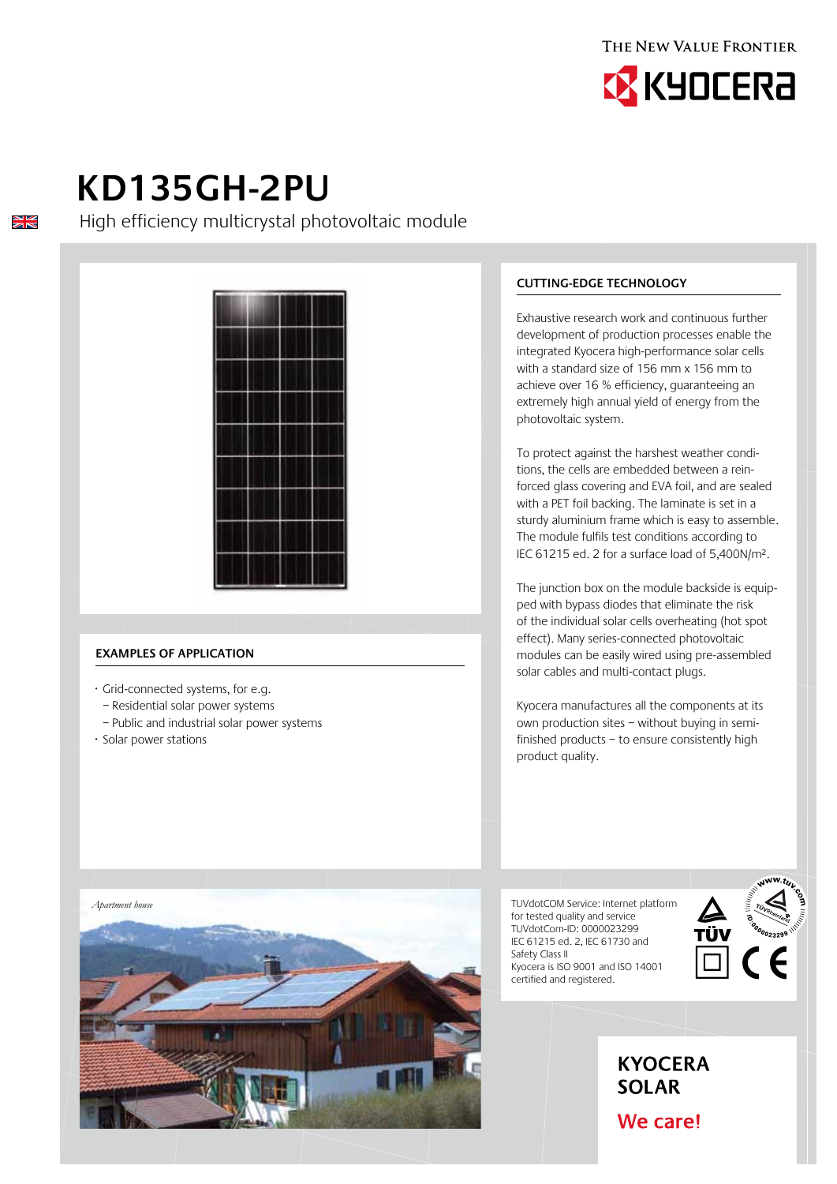



# **KD135gh-2pu**

 $\frac{N}{N}$ 

High efficiency multicrystal photovoltaic module



# **Examples of application**

- · Grid-connected systems, for e.g.
- Residential solar power systems
- Public and industrial solar power systems
- · Solar power stations

# **Cutting-edge technology**

Exhaustive research work and continuous further development of production processes enable the integrated Kyocera high-performance solar cells with a standard size of 156 mm x 156 mm to achieve over 16 % efficiency, guaranteeing an extremely high annual yield of energy from the photovoltaic system.

To protect against the harshest weather conditions, the cells are embedded between a reinforced glass covering and EVA foil, and are sealed with a PET foil backing. The laminate is set in a sturdy aluminium frame which is easy to assemble. The module fulfils test conditions according to IEC 61215 ed. 2 for a surface load of 5,400N/m².

The junction box on the module backside is equipped with bypass diodes that eliminate the risk of the individual solar cells overheating (hot spot effect). Many series-connected photovoltaic modules can be easily wired using pre-assembled solar cables and multi-contact plugs.

Kyocera manufactures all the components at its own production sites – without buying in semifinished products – to ensure consistently high product quality.

TUVdotCOM Service: Internet platform for tested quality and service TUVdotCom-ID: 0000023299 IEC 61215 ed. 2, IEC 61730 and Safety Class II Kyocera is ISO 9001 and ISO 14001 certified and registered.